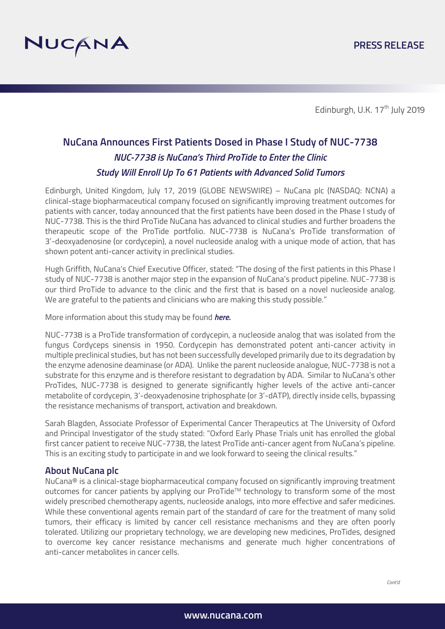

Edinburgh, U.K.  $17<sup>th</sup>$  July 2019

## **NuCana Announces First Patients Dosed in Phase I Study of NUC-7738** *NUC-7738 is NuCana's Third ProTide to Enter the Clinic Study Will Enroll Up To 61 Patients with Advanced Solid Tumors*

Edinburgh, United Kingdom, July 17, 2019 (GLOBE NEWSWIRE) – NuCana plc (NASDAQ: NCNA) a clinical-stage biopharmaceutical company focused on significantly improving treatment outcomes for patients with cancer, today announced that the first patients have been dosed in the Phase I study of NUC-7738. This is the third ProTide NuCana has advanced to clinical studies and further broadens the therapeutic scope of the ProTide portfolio. NUC-7738 is NuCana's ProTide transformation of 3'-deoxyadenosine (or cordycepin), a novel nucleoside analog with a unique mode of action, that has shown potent anti-cancer activity in preclinical studies.

Hugh Griffith, NuCana's Chief Executive Officer, stated: "The dosing of the first patients in this Phase I study of NUC-7738 is another major step in the expansion of NuCana's product pipeline. NUC-7738 is our third ProTide to advance to the clinic and the first that is based on a novel nucleoside analog. We are grateful to the patients and clinicians who are making this study possible."

[More information about this study may be found](https://clinicaltrials.gov/ct2/show/NCT03829254?term=NUC-7738&rank=1) *here***.** 

NUC-7738 is a ProTide transformation of cordycepin, a nucleoside analog that was isolated from the fungus Cordyceps sinensis in 1950. Cordycepin has demonstrated potent anti-cancer activity in multiple preclinical studies, but has not been successfully developed primarily due to its degradation by the enzyme adenosine deaminase (or ADA). Unlike the parent nucleoside analogue, NUC-7738 is not a substrate for this enzyme and is therefore resistant to degradation by ADA. Similar to NuCana's other ProTides, NUC-7738 is designed to generate significantly higher levels of the active anti-cancer metabolite of cordycepin, 3'-deoxyadenosine triphosphate (or 3'-dATP), directly inside cells, bypassing the resistance mechanisms of transport, activation and breakdown.

Sarah Blagden, Associate Professor of Experimental Cancer Therapeutics at The University of Oxford and Principal Investigator of the study stated: "Oxford Early Phase Trials unit has enrolled the global first cancer patient to receive NUC-7738, the latest ProTide anti-cancer agent from NuCana's pipeline. This is an exciting study to participate in and we look forward to seeing the clinical results."

## **About NuCana plc**

NuCana® is a clinical-stage biopharmaceutical company focused on significantly improving treatment outcomes for cancer patients by applying our ProTide™ technology to transform some of the most widely prescribed chemotherapy agents, nucleoside analogs, into more effective and safer medicines. While these conventional agents remain part of the standard of care for the treatment of many solid tumors, their efficacy is limited by cancer cell resistance mechanisms and they are often poorly tolerated. Utilizing our proprietary technology, we are developing new medicines, ProTides, designed to overcome key cancer resistance mechanisms and generate much higher concentrations of anti-cancer metabolites in cancer cells.